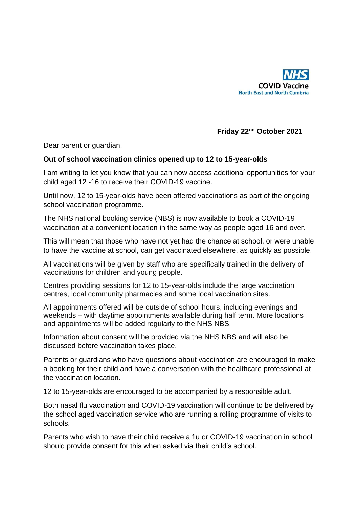

## **Friday 22nd October 2021**

Dear parent or guardian,

## **Out of school vaccination clinics opened up to 12 to 15-year-olds**

I am writing to let you know that you can now access additional opportunities for your child aged 12 -16 to receive their COVID-19 vaccine.

Until now, 12 to 15-year-olds have been offered vaccinations as part of the ongoing school vaccination programme.

The NHS national booking service (NBS) is now available to book a COVID-19 vaccination at a convenient location in the same way as people aged 16 and over.

This will mean that those who have not yet had the chance at school, or were unable to have the vaccine at school, can get vaccinated elsewhere, as quickly as possible.

All vaccinations will be given by staff who are specifically trained in the delivery of vaccinations for children and young people.

Centres providing sessions for 12 to 15-year-olds include the large vaccination centres, local community pharmacies and some local vaccination sites.

All appointments offered will be outside of school hours, including evenings and weekends – with daytime appointments available during half term. More locations and appointments will be added regularly to the NHS NBS.

Information about consent will be provided via the NHS NBS and will also be discussed before vaccination takes place.

Parents or guardians who have questions about vaccination are encouraged to make a booking for their child and have a conversation with the healthcare professional at the vaccination location.

12 to 15-year-olds are encouraged to be accompanied by a responsible adult.

Both nasal flu vaccination and COVID-19 vaccination will continue to be delivered by the school aged vaccination service who are running a rolling programme of visits to schools.

Parents who wish to have their child receive a flu or COVID-19 vaccination in school should provide consent for this when asked via their child's school.